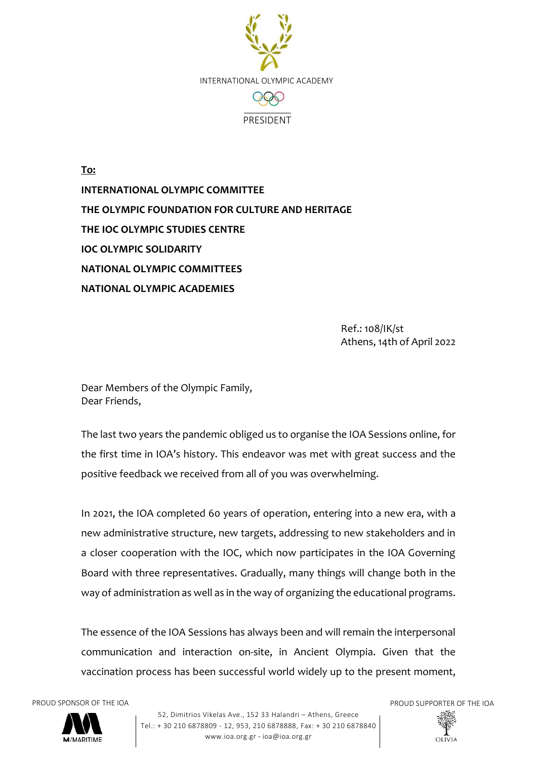

**To: INTERNATIONAL OLYMPIC COMMITTEE THE OLYMPIC FOUNDATION FOR CULTURE AND HERITAGE THE IOC OLYMPIC STUDIES CENTRE IOC OLYMPIC SOLIDARITY NATIONAL OLYMPIC COMMITTEES NATIONAL OLYMPIC ACADEMIES**

> Ref.: 108/IK/st Athens, 14th of April 2022

Dear Members of the Olympic Family, Dear Friends,

The last two years the pandemic obliged us to organise the IOA Sessions online, for the first time in IOA's history. This endeavor was met with great success and the positive feedback we received from all of you was overwhelming.

In 2021, the IOA completed 60 years of operation, entering into a new era, with a new administrative structure, new targets, addressing to new stakeholders and in a closer cooperation with the IOC, which now participates in the IOA Governing Board with three representatives. Gradually, many things will change both in the way of administration as well as in the way of organizing the educational programs.

The essence of the IOA Sessions has always been and will remain the interpersonal communication and interaction on-site, in Ancient Olympia. Given that the vaccination process has been successful world widely up to the present moment,



52, Dimitrios Vikelas Ave., 152 33 Halandri – Athens, Greece Tel.: + 30 210 6878809 - 12, 953, 210 6878888, Fax: + 30 210 6878840 www.ioa.org.gr · ioa@ioa.org.gr

PROUD SPONSOR OF THE IOA PROUD SUPPORTER OF THE IOA

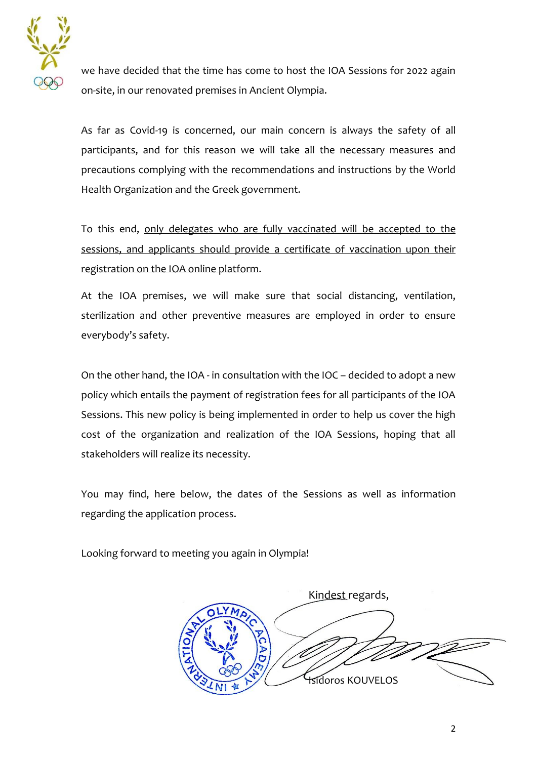

we have decided that the time has come to host the IOA Sessions for 2022 again on-site, in our renovated premises in Ancient Olympia.

As far as Covid-19 is concerned, our main concern is always the safety of all participants, and for this reason we will take all the necessary measures and precautions complying with the recommendations and instructions by the World Health Organization and the Greek government.

To this end, only delegates who are fully vaccinated will be accepted to the sessions, and applicants should provide a certificate of vaccination upon their registration on the IOA online platform.

At the IOA premises, we will make sure that social distancing, ventilation, sterilization and other preventive measures are employed in order to ensure everybody's safety.

On the other hand, the IOA - in consultation with the IOC – decided to adopt a new policy which entails the payment of registration fees for all participants of the IOA Sessions. This new policy is being implemented in order to help us cover the high cost of the organization and realization of the IOA Sessions, hoping that all stakeholders will realize its necessity.

You may find, here below, the dates of the Sessions as well as information regarding the application process.

Looking forward to meeting you again in Olympia!

Kindest regards, Isidoros KOUVELOS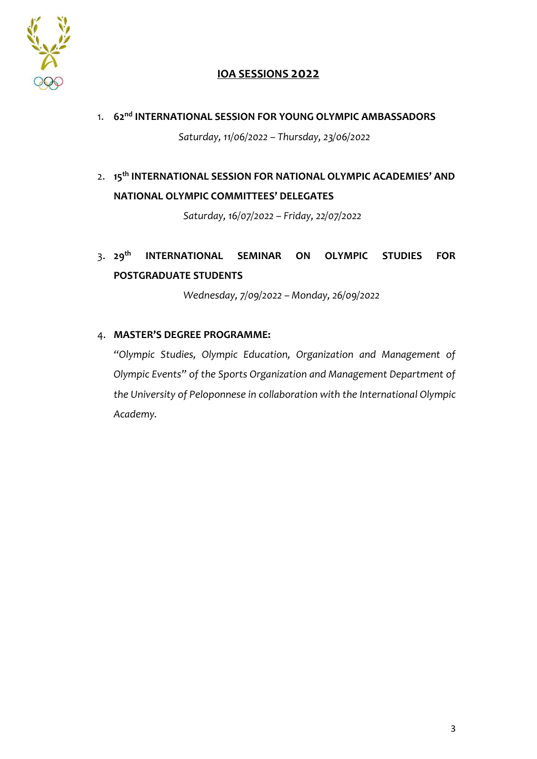

## **IOA SESSIONS 2022**

- 1. **62nd INTERNATIONAL SESSION FOR YOUNG OLYMPIC AMBASSADORS** *Saturday, 11/06/2022 – Thursday, 23/06/2022*
- 2. **15th INTERNATIONAL SESSION FOR NATIONAL OLYMPIC ACADEMIES' AND NATIONAL OLYMPIC COMMITTEES' DELEGATES**

*Saturday, 16/07/2022 – Friday, 22/07/2022*

3. **29th INTERNATIONAL SEMINAR ON OLYMPIC STUDIES FOR POSTGRADUATE STUDENTS**

*Wednesday, 7/09/2022 – Monday, 26/09/2022*

#### 4. **MASTER'S DEGREE PROGRAMME:**

*"Olympic Studies, Olympic Education, Organization and Management of Olympic Events" of the Sports Organization and Management Department of the University of Peloponnese in collaboration with the International Olympic Academy.*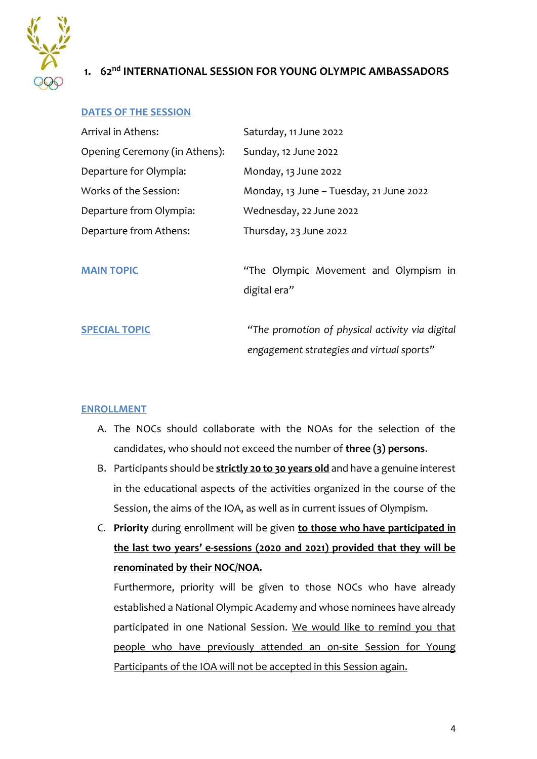

## **1. 62nd INTERNATIONAL SESSION FOR YOUNG OLYMPIC AMBASSADORS**

#### **DATES OF THE SESSION**

| Arrival in Athens:            | Saturday, 11 June 2022                  |
|-------------------------------|-----------------------------------------|
| Opening Ceremony (in Athens): | Sunday, 12 June 2022                    |
| Departure for Olympia:        | Monday, 13 June 2022                    |
| Works of the Session:         | Monday, 13 June - Tuesday, 21 June 2022 |
| Departure from Olympia:       | Wednesday, 22 June 2022                 |
| Departure from Athens:        | Thursday, 23 June 2022                  |
|                               |                                         |

**MAIN TOPIC** *"*The Olympic Movement and Olympism in digital era*"*

**SPECIAL TOPIC** *"The promotion of physical activity via digital engagement strategies and virtual sports"*

#### **ENROLLMENT**

- A. The NOCs should collaborate with the NOAs for the selection of the candidates, who should not exceed the number of **three (3) persons**.
- B. Participants should be **strictly 20 to 30 years old** and have a genuine interest in the educational aspects of the activities organized in the course of the Session, the aims of the IOA, as well as in current issues of Olympism.
- C. **Priority** during enrollment will be given **to those who have participated in the last two years' e-sessions (2020 and 2021) provided that they will be renominated by their NOC/NOA.**

Furthermore, priority will be given to those NOCs who have already established a National Olympic Academy and whose nominees have already participated in one National Session. We would like to remind you that people who have previously attended an on-site Session for Young Participants of the IOA will not be accepted in this Session again.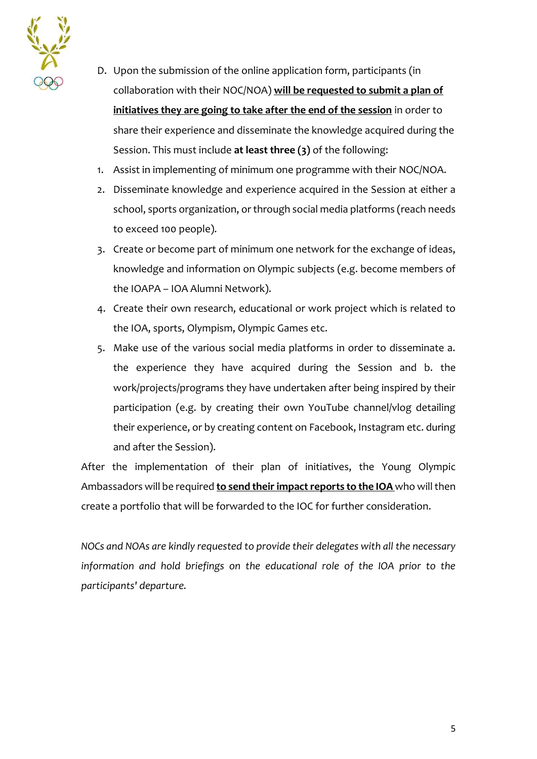

- D. Upon the submission of the online application form, participants (in collaboration with their NOC/NOA) **will be requested to submit a plan of initiatives they are going to take after the end of the session** in order to share their experience and disseminate the knowledge acquired during the Session. This must include **at least three (3)** of the following:
- 1. Assist in implementing of minimum one programme with their NOC/NOA.
- 2. Disseminate knowledge and experience acquired in the Session at either a school, sports organization, or through social media platforms (reach needs to exceed 100 people).
- 3. Create or become part of minimum one network for the exchange of ideas, knowledge and information on Olympic subjects (e.g. become members of the IOAPA – IOA Alumni Network).
- 4. Create their own research, educational or work project which is related to the IOA, sports, Olympism, Olympic Games etc.
- 5. Make use of the various social media platforms in order to disseminate a. the experience they have acquired during the Session and b. the work/projects/programs they have undertaken after being inspired by their participation (e.g. by creating their own YouTube channel/vlog detailing their experience, or by creating content on Facebook, Instagram etc. during and after the Session).

After the implementation of their plan of initiatives, the Young Olympic Ambassadors will be required **to send their impact reports to the IOA** who will then create a portfolio that will be forwarded to the IOC for further consideration.

*NOCs and NOAs are kindly requested to provide their delegates with all the necessary information and hold briefings on the educational role of the IOA prior to the participants' departure.*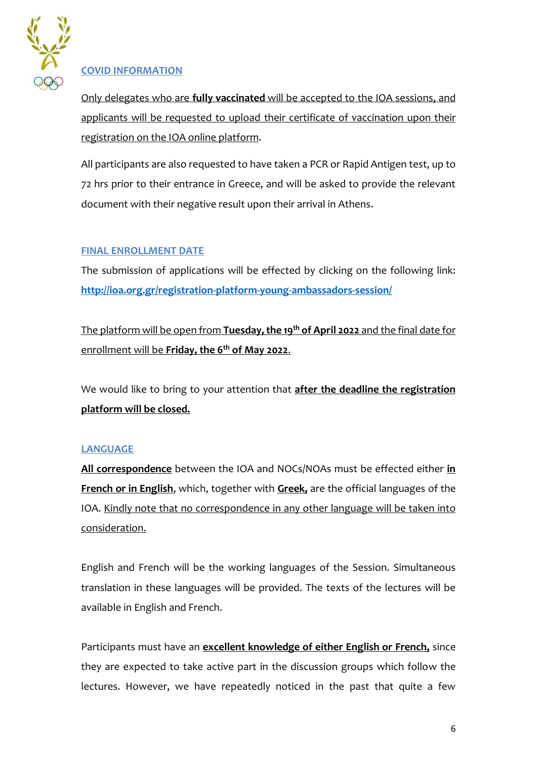

## **COVID INFORMATION**

Only delegates who are **fully vaccinated** will be accepted to the IOA sessions, and applicants will be requested to upload their certificate of vaccination upon their registration on the IOA online platform.

All participants are also requested to have taken a PCR or Rapid Antigen test, up to 72 hrs prior to their entrance in Greece, and will be asked to provide the relevant document with their negative result upon their arrival in Athens.

#### **FINAL ENROLLMENT DATE**

The submission of applications will be effected by clicking on the following link: **<http://ioa.org.gr/registration-platform-young-ambassadors-session/>**

The platform will be open from **Tuesday, the 19 th of April 2022** and the final date for enrollment will be **Friday, the 6th of May 2022**.

We would like to bring to your attention that **after the deadline the registration platform will be closed.** 

## **LANGUAGE**

**All correspondence** between the IOA and NOCs/NOAs must be effected either **in French or in English**, which, together with **Greek,** are the official languages of the IOA. Kindly note that no correspondence in any other language will be taken into consideration.

English and French will be the working languages of the Session. Simultaneous translation in these languages will be provided. The texts of the lectures will be available in English and French.

Participants must have an **excellent knowledge of either English or French,** since they are expected to take active part in the discussion groups which follow the lectures. However, we have repeatedly noticed in the past that quite a few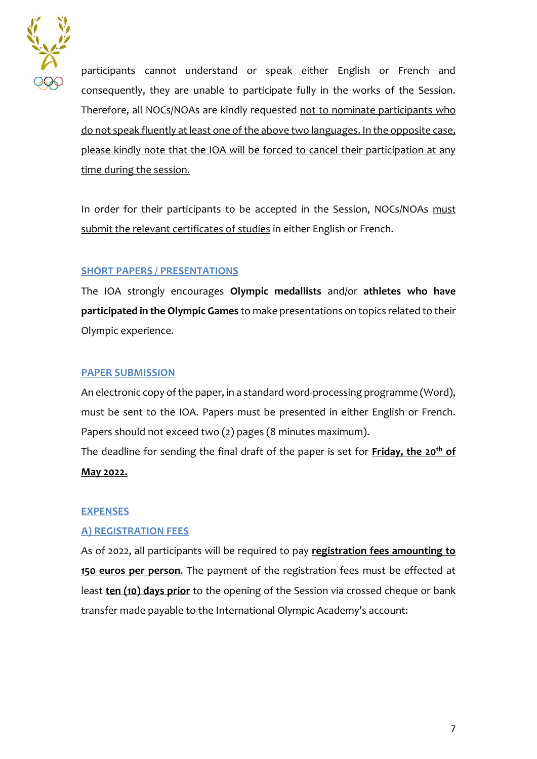

participants cannot understand or speak either English or French and consequently, they are unable to participate fully in the works of the Session. Therefore, all NOCs/NOAs are kindly requested not to nominate participants who do not speak fluently at least one of the above two languages. In the opposite case, please kindly note that the IOA will be forced to cancel their participation at any time during the session.

In order for their participants to be accepted in the Session, NOCs/NOAs must submit the relevant certificates of studies in either English or French.

## **SHORT PAPERS / PRESENTATIONS**

The IOA strongly encourages **Olympic medallists** and/or **athletes who have participated in the Olympic Games** to make presentations on topics related to their Olympic experience.

#### **PAPER SUBMISSION**

An electronic copy of the paper, in a standard word-processing programme (Word), must be sent to the IOA. Papers must be presented in either English or French. Papers should not exceed two (2) pages (8 minutes maximum).

The deadline for sending the final draft of the paper is set for **Friday, the 20th of May 2022.**

#### **EXPENSES**

#### **A) REGISTRATION FEES**

As of 2022, all participants will be required to pay **registration fees amounting to 150 euros per person**. The payment of the registration fees must be effected at least **ten (10) days prior** to the opening of the Session via crossed cheque or bank transfer made payable to the International Olympic Academy's account: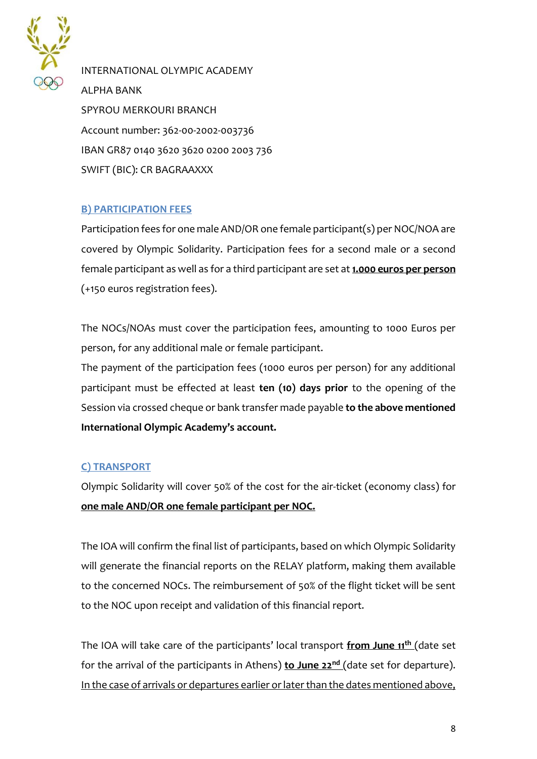

INTERNATIONAL OLYMPIC ACADEMY ALPHA BANK SPYROU MERKOURI BRANCH Account number: 362-00-2002-003736 IBAN GR87 0140 3620 3620 0200 2003 736 SWIFT (BIC): CR BAGRAAXXX

## **B) PARTICIPATION FEES**

Participation fees for one male AND/OR one female participant(s) per NOC/NOA are covered by Olympic Solidarity. Participation fees for a second male or a second female participant as well as for a third participant are set at **1.000 euros per person** (+150 euros registration fees).

The NOCs/NOAs must cover the participation fees, amounting to 1000 Euros per person, for any additional male or female participant.

The payment of the participation fees (1000 euros per person) for any additional participant must be effected at least **ten (10) days prior** to the opening of the Session via crossed cheque or bank transfer made payable **to the above mentioned International Olympic Academy's account.**

## **C) TRANSPORT**

Olympic Solidarity will cover 50% of the cost for the air-ticket (economy class) for **one male AND/OR one female participant per NOC.**

The IOA will confirm the final list of participants, based on which Olympic Solidarity will generate the financial reports on the RELAY platform, making them available to the concerned NOCs. The reimbursement of 50% of the flight ticket will be sent to the NOC upon receipt and validation of this financial report.

The IOA will take care of the participants' local transport **from June 11th** (date set for the arrival of the participants in Athens) **to June 22nd** (date set for departure). In the case of arrivals or departures earlier or later than the dates mentioned above,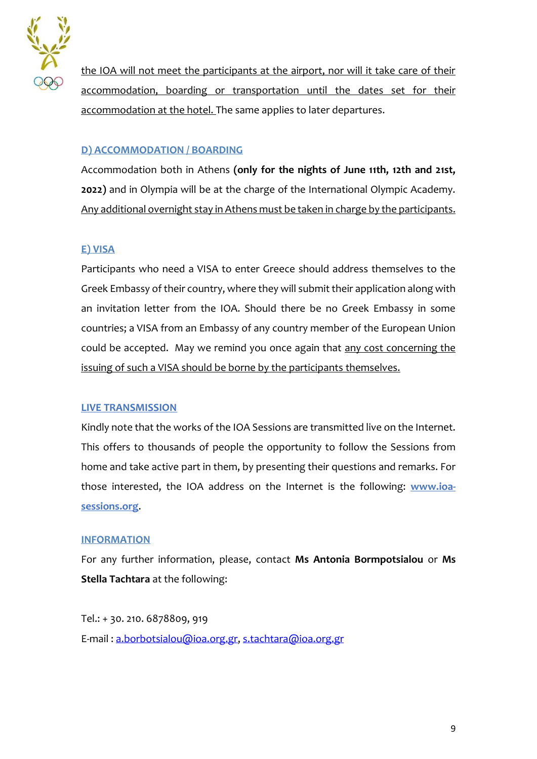

the IOA will not meet the participants at the airport, nor will it take care of their accommodation, boarding or transportation until the dates set for their accommodation at the hotel. The same applies to later departures.

## **D) ACCOMMODATION / BOARDING**

Accommodation both in Athens **(only for the nights of June 11th, 12th and 21st, 2022)** and in Olympia will be at the charge of the International Olympic Academy. Any additional overnight stay in Athens must be taken in charge by the participants.

#### **E) VISA**

Participants who need a VISA to enter Greece should address themselves to the Greek Embassy of their country, where they will submit their application along with an invitation letter from the IOA. Should there be no Greek Embassy in some countries; a VISA from an Embassy of any country member of the European Union could be accepted. May we remind you once again that any cost concerning the issuing of such a VISA should be borne by the participants themselves.

#### **LIVE TRANSMISSION**

Kindly note that the works of the IOA Sessions are transmitted live on the Internet. This offers to thousands of people the opportunity to follow the Sessions from home and take active part in them, by presenting their questions and remarks. For those interested, the IOA address on the Internet is the following: **[www.ioa](http://www.ioa-sessions.org/)[sessions.org](http://www.ioa-sessions.org/)**.

#### **INFORMATION**

For any further information, please, contact **Ms Antonia Bormpotsialou** or **Ms Stella Tachtara** at the following:

Tel.: + 30. 210. 6878809, 919 E-mail : [a.borbotsialou@ioa.org.gr,](mailto:a.borbotsialou@ioa.org.gr) [s.tachtara@ioa.org.gr](mailto:s.tachtara@ioa.org.gr)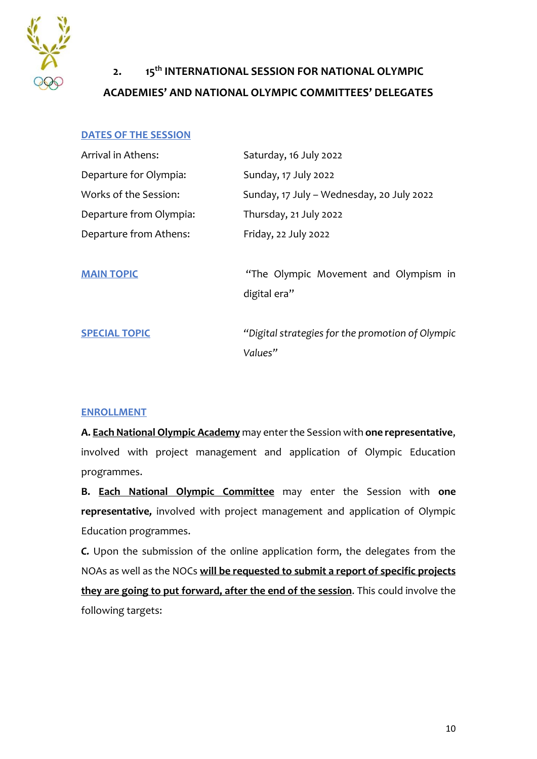

# **2. 15th INTERNATIONAL SESSION FOR NATIONAL OLYMPIC ACADEMIES' AND NATIONAL OLYMPIC COMMITTEES' DELEGATES**

#### **DATES OF THE SESSION**

| Arrival in Athens:      | Saturday, 16 July 2022                                      |
|-------------------------|-------------------------------------------------------------|
| Departure for Olympia:  | Sunday, 17 July 2022                                        |
| Works of the Session:   | Sunday, 17 July - Wednesday, 20 July 2022                   |
| Departure from Olympia: | Thursday, 21 July 2022                                      |
| Departure from Athens:  | Friday, 22 July 2022                                        |
| <b>MAIN TOPIC</b>       | "The Olympic Movement and Olympism in<br>digital era"       |
| <b>SPECIAL TOPIC</b>    | "Digital strategies for the promotion of Olympic<br>Values" |

#### **ENROLLMENT**

**A. Each National Olympic Academy** may enter the Session with **one representative**, involved with project management and application of Olympic Education programmes.

**B. Each National Olympic Committee** may enter the Session with **one representative***,* involved with project management and application of Olympic Education programmes.

*C.* Upon the submission of the online application form, the delegates from the NOAs as well as the NOCs **will be requested to submit a report of specific projects they are going to put forward, after the end of the session**. This could involve the following targets: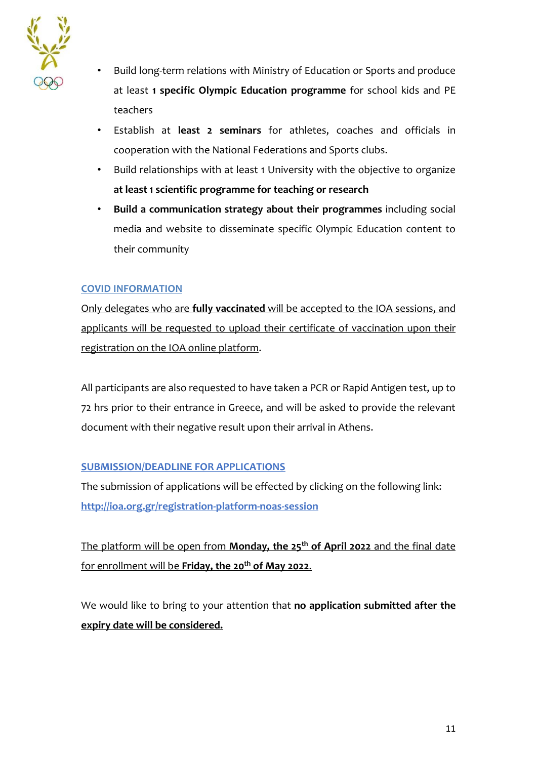

- Build long-term relations with Ministry of Education or Sports and produce at least **1 specific Olympic Education programme** for school kids and PE teachers
- Establish at **least 2 seminars** for athletes, coaches and officials in cooperation with the National Federations and Sports clubs.
- Build relationships with at least 1 University with the objective to organize **at least 1 scientific programme for teaching or research**
- **Build a communication strategy about their programmes** including social media and website to disseminate specific Olympic Education content to their community

#### **COVID INFORMATION**

Only delegates who are **fully vaccinated** will be accepted to the IOA sessions, and applicants will be requested to upload their certificate of vaccination upon their registration on the IOA online platform.

All participants are also requested to have taken a PCR or Rapid Antigen test, up to 72 hrs prior to their entrance in Greece, and will be asked to provide the relevant document with their negative result upon their arrival in Athens.

## **SUBMISSION/DEADLINE FOR APPLICATIONS**

The submission of applications will be effected by clicking on the following link: **http://ioa.org.gr/registration-platform-noas-session**

The platform will be open from **Monday, the 25th of April 2022** and the final date for enrollment will be **Friday, the 20th of May 2022**.

We would like to bring to your attention that **no application submitted after the expiry date will be considered.**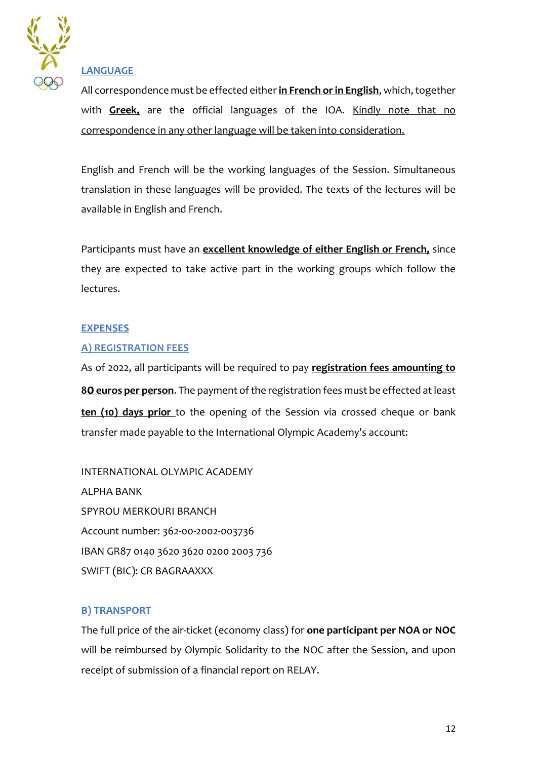

## **LANGUAGE**

All correspondence must be effected either **in French or in English**, which, together with **Greek,** are the official languages of the IOA. Kindly note that no correspondence in any other language will be taken into consideration.

English and French will be the working languages of the Session. Simultaneous translation in these languages will be provided. The texts of the lectures will be available in English and French.

Participants must have an **excellent knowledge of either English or French,** since they are expected to take active part in the working groups which follow the lectures.

#### **EXPENSES**

#### **A) REGISTRATION FEES**

As of 2022, all participants will be required to pay **registration fees amounting to 80 euros per person**. The payment of the registration fees must be effected at least **ten (10) days prior** to the opening of the Session via crossed cheque or bank transfer made payable to the International Olympic Academy's account:

INTERNATIONAL OLYMPIC ACADEMY ALPHA BANK SPYROU MERKOURI BRANCH Account number: 362-00-2002-003736 IBAN GR87 0140 3620 3620 0200 2003 736 SWIFT (BIC): CR BAGRAAXXX

## **B) TRANSPORT**

The full price of the air-ticket (economy class) for **one participant per NOA or NOC**  will be reimbursed by Olympic Solidarity to the NOC after the Session, and upon receipt of submission of a financial report on RELAY.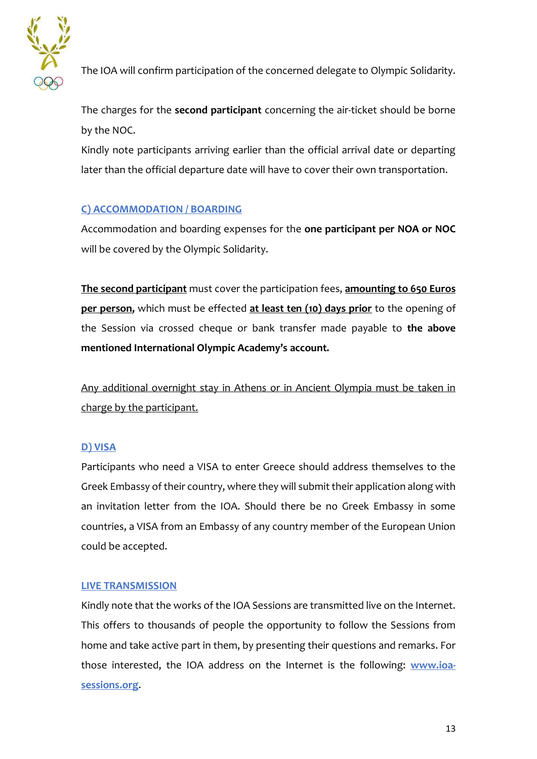

The IOA will confirm participation of the concerned delegate to Olympic Solidarity.

The charges for the **second participant** concerning the air-ticket should be borne by the NOC.

Kindly note participants arriving earlier than the official arrival date or departing later than the official departure date will have to cover their own transportation.

## **C) ACCOMMODATION / BOARDING**

Accommodation and boarding expenses for the **one participant per NOA or NOC** will be covered by the Olympic Solidarity.

**The second participant** must cover the participation fees, **amounting to 650 Euros per person,** which must be effected **at least ten (10) days prior** to the opening of the Session via crossed cheque or bank transfer made payable to **the above mentioned International Olympic Academy's account.**

Any additional overnight stay in Athens or in Ancient Olympia must be taken in charge by the participant.

## **D) VISA**

Participants who need a VISA to enter Greece should address themselves to the Greek Embassy of their country, where they will submit their application along with an invitation letter from the IOA. Should there be no Greek Embassy in some countries, a VISA from an Embassy of any country member of the European Union could be accepted.

## **LIVE TRANSMISSION**

Kindly note that the works of the IOA Sessions are transmitted live on the Internet. This offers to thousands of people the opportunity to follow the Sessions from home and take active part in them, by presenting their questions and remarks. For those interested, the IOA address on the Internet is the following: **[www.ioa](http://www.ioa-sessions.org/)[sessions.org](http://www.ioa-sessions.org/)**.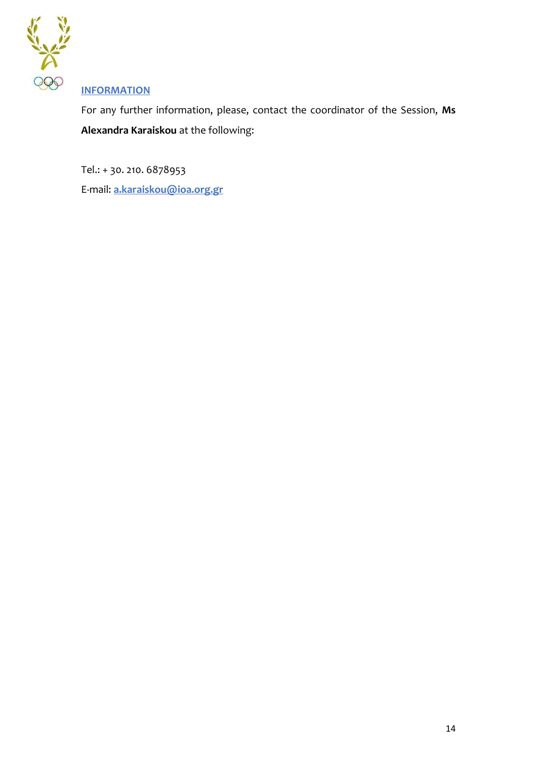

## **INFORMATION**

For any further information, please, contact the coordinator of the Session, **Ms Alexandra Karaiskou** at the following:

Tel.: + 30. 210. 6878953

E-mail: **[a.karaiskou@ioa.org.gr](mailto:a.karaiskou@ioa.org.gr)**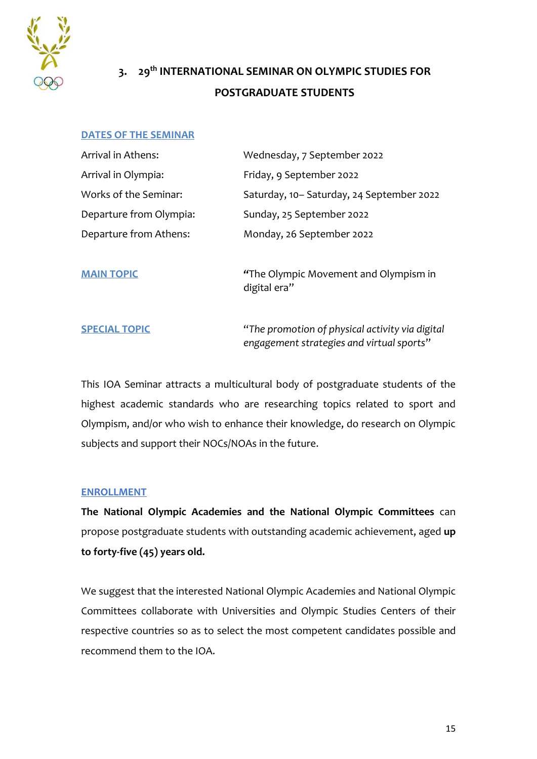

# **3. 29th INTERNATIONAL SEMINAR ON OLYMPIC STUDIES FOR POSTGRADUATE STUDENTS**

#### **DATES OF THE SEMINAR**

| Arrival in Athens:      | Wednesday, 7 September 2022              |
|-------------------------|------------------------------------------|
| Arrival in Olympia:     | Friday, 9 September 2022                 |
| Works of the Seminar:   | Saturday, 10-Saturday, 24 September 2022 |
| Departure from Olympia: | Sunday, 25 September 2022                |
| Departure from Athens:  | Monday, 26 September 2022                |
|                         |                                          |
| <b>MAIN TOPIC</b>       | "The Olympic Movement and Olympism in    |

digital era"

**SPECIAL TOPIC** "*The promotion of physical activity via digital engagement strategies and virtual sports*"

This IOA Seminar attracts a multicultural body of postgraduate students of the highest academic standards who are researching topics related to sport and Olympism, and/or who wish to enhance their knowledge, do research on Olympic subjects and support their NOCs/NOAs in the future.

#### **ENROLLMENT**

**The National Olympic Academies and the National Olympic Committees** can propose postgraduate students with outstanding academic achievement, aged **up to forty-five (45) years old.**

We suggest that the interested National Olympic Academies and National Olympic Committees collaborate with Universities and Olympic Studies Centers of their respective countries so as to select the most competent candidates possible and recommend them to the IOA.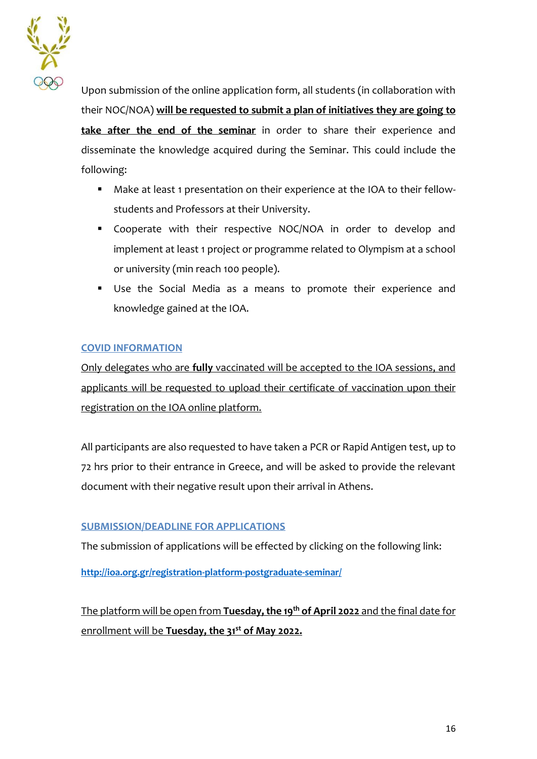

Upon submission of the online application form, all students (in collaboration with their NOC/NOA) **will be requested to submit a plan of initiatives they are going to take after the end of the seminar** in order to share their experience and disseminate the knowledge acquired during the Seminar. This could include the following:

- Make at least 1 presentation on their experience at the IOA to their fellowstudents and Professors at their University.
- Cooperate with their respective NOC/NOA in order to develop and implement at least 1 project or programme related to Olympism at a school or university (min reach 100 people).
- Use the Social Media as a means to promote their experience and knowledge gained at the IOA.

#### **COVID INFORMATION**

Only delegates who are **fully** vaccinated will be accepted to the IOA sessions, and applicants will be requested to upload their certificate of vaccination upon their registration on the IOA online platform.

All participants are also requested to have taken a PCR or Rapid Antigen test, up to 72 hrs prior to their entrance in Greece, and will be asked to provide the relevant document with their negative result upon their arrival in Athens.

## **SUBMISSION/DEADLINE FOR APPLICATIONS**

The submission of applications will be effected by clicking on the following link:

**<http://ioa.org.gr/registration-platform-postgraduate-seminar/>**

The platform will be open from **Tuesday, the 19 th of April 2022** and the final date for enrollment will be **Tuesday, the 31st of May 2022.**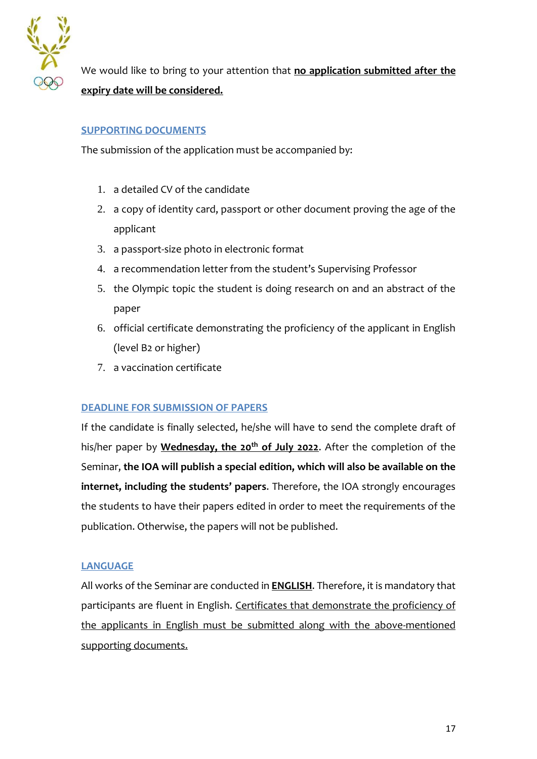

We would like to bring to your attention that **no application submitted after the expiry date will be considered.**

#### **SUPPORTING DOCUMENTS**

The submission of the application must be accompanied by:

- 1. a detailed CV of the candidate
- 2. a copy of identity card, passport or other document proving the age of the applicant
- 3. a passport-size photo in electronic format
- 4. a recommendation letter from the student's Supervising Professor
- 5. the Olympic topic the student is doing research on and an abstract of the paper
- 6. official certificate demonstrating the proficiency of the applicant in English (level B2 or higher)
- 7. a vaccination certificate

#### **DEADLINE FOR SUBMISSION OF PAPERS**

If the candidate is finally selected, he/she will have to send the complete draft of his/her paper by **Wednesday, the 20th of July 2022**. After the completion of the Seminar, **the IOA will publish a special edition, which will also be available on the internet, including the students' papers**. Therefore, the IOA strongly encourages the students to have their papers edited in order to meet the requirements of the publication. Otherwise, the papers will not be published.

#### **LANGUAGE**

All works of the Seminar are conducted in **ENGLISH**. Therefore, it is mandatory that participants are fluent in English. Certificates that demonstrate the proficiency of the applicants in English must be submitted along with the above-mentioned supporting documents.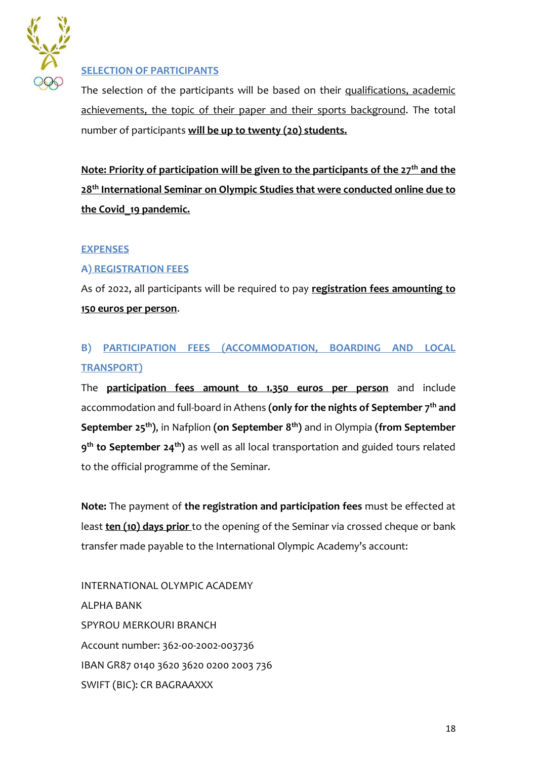

### **SELECTION OF PARTICIPANTS**

The selection of the participants will be based on their qualifications, academic achievements, the topic of their paper and their sports background. The total number of participants **will be up to twenty (20) students.** 

**Note: Priority of participation will be given to the participants of the 27th and the 28th International Seminar on Olympic Studies that were conducted online due to the Covid\_19 pandemic.** 

#### **EXPENSES**

#### **A) REGISTRATION FEES**

As of 2022, all participants will be required to pay **registration fees amounting to 150 euros per person**.

## **B) PARTICIPATION FEES (ACCOMMODATION, BOARDING AND LOCAL TRANSPORT)**

The **participation fees amount to 1.350 euros per person** and include accommodation and full-board in Athens **(only for the nights of September 7th and September 25th)**, in Nafplion **(on September 8th)** and in Olympia **(from September 9 th to September 24th)** as well as all local transportation and guided tours related to the official programme of the Seminar.

**Note:** The payment of **the registration and participation fees** must be effected at least **ten (10) days prior** to the opening of the Seminar via crossed cheque or bank transfer made payable to the International Olympic Academy's account:

INTERNATIONAL OLYMPIC ACADEMY ALPHA BANK SPYROU MERKOURI BRANCH Account number: 362-00-2002-003736 IBAN GR87 0140 3620 3620 0200 2003 736 SWIFT (BIC): CR BAGRAAXXX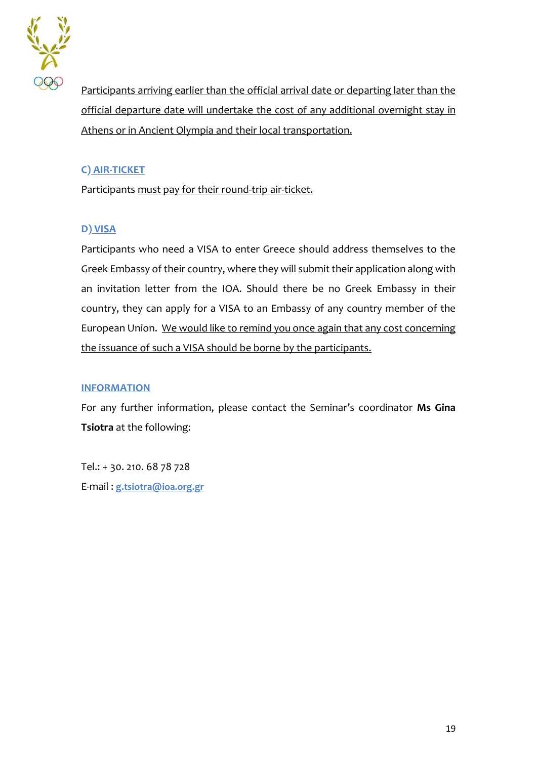

Participants arriving earlier than the official arrival date or departing later than the official departure date will undertake the cost of any additional overnight stay in Athens or in Ancient Olympia and their local transportation.

## **C) AIR-TICKET**

Participants must pay for their round-trip air-ticket.

## **D) VISA**

Participants who need a VISA to enter Greece should address themselves to the Greek Embassy of their country, where they will submit their application along with an invitation letter from the IOA. Should there be no Greek Embassy in their country, they can apply for a VISA to an Embassy of any country member of the European Union. We would like to remind you once again that any cost concerning the issuance of such a VISA should be borne by the participants.

## **INFORMATION**

For any further information, please contact the Seminar's coordinator **Ms Gina Tsiotra** at the following:

Tel.: + 30. 210. 68 78 728 E-mail : **[g.tsiotra@ioa.org.gr](mailto:g.tsiotra@ioa.org.gr)**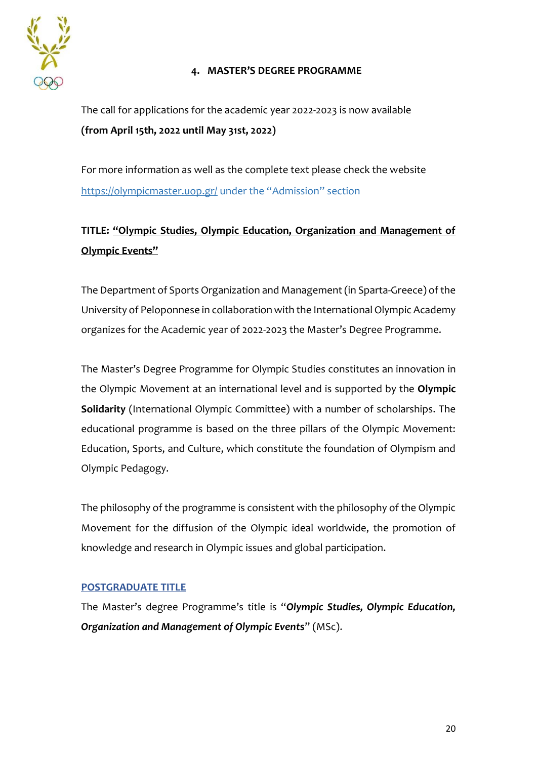

#### **4. MASTER'S DEGREE PROGRAMME**

The call for applications for the academic year 2022-2023 is now available **(from April 15th, 2022 until May 31st, 2022)**

For more information as well as the complete text please check the website <https://olympicmaster.uop.gr/> under the "Admission" section

# **TITLE: "Olympic Studies, Olympic Education, Organization and Management of Olympic Events"**

The Department of Sports Organization and Management (in Sparta-Greece) of the University of Peloponnese in collaboration with the International Olympic Academy organizes for the Academic year of 2022-2023 the Master's Degree Programme.

The Master's Degree Programme for Olympic Studies constitutes an innovation in the Olympic Movement at an international level and is supported by the **Olympic Solidarity** (International Olympic Committee) with a number of scholarships. The educational programme is based on the three pillars of the Olympic Movement: Education, Sports, and Culture, which constitute the foundation of Olympism and Olympic Pedagogy.

The philosophy of the programme is consistent with the philosophy of the Olympic Movement for the diffusion of the Olympic ideal worldwide, the promotion of knowledge and research in Olympic issues and global participation.

## **POSTGRADUATE TITLE**

The Master's degree Programme's title is "*Olympic Studies, Olympic Education, Organization and Management of Olympic Event***s**" (MSc).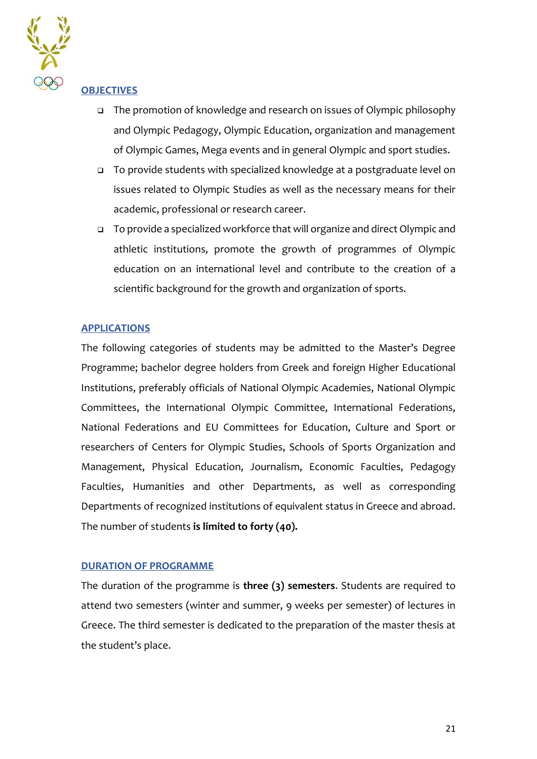

#### **OBJECTIVES**

- ❑ The promotion of knowledge and research on issues of Olympic philosophy and Olympic Pedagogy, Olympic Education, organization and management of Olympic Games, Mega events and in general Olympic and sport studies.
- ❑ To provide students with specialized knowledge at a postgraduate level on issues related to Olympic Studies as well as the necessary means for their academic, professional or research career.
- ❑ To provide a specialized workforce that will organize and direct Olympic and athletic institutions, promote the growth of programmes of Olympic education on an international level and contribute to the creation of a scientific background for the growth and organization of sports.

#### **APPLICATIONS**

The following categories of students may be admitted to the Master's Degree Programme; bachelor degree holders from Greek and foreign Higher Educational Institutions, preferably officials of National Olympic Academies, National Olympic Committees, the International Olympic Committee, International Federations, National Federations and EU Committees for Education, Culture and Sport or researchers of Centers for Olympic Studies, Schools of Sports Organization and Management, Physical Education, Journalism, Economic Faculties, Pedagogy Faculties, Humanities and other Departments, as well as corresponding Departments of recognized institutions of equivalent status in Greece and abroad. The number of students **is limited to forty (40).**

#### **DURATION OF PROGRAMME**

The duration of the programme is **three (3) semesters**. Students are required to attend two semesters (winter and summer, 9 weeks per semester) of lectures in Greece. The third semester is dedicated to the preparation of the master thesis at the student's place.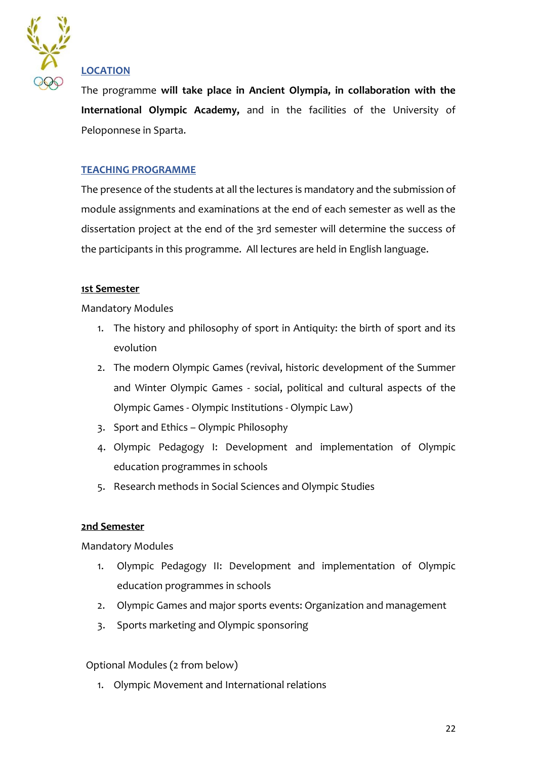

## **LOCATION**

The programme **will take place in Ancient Olympia, in collaboration with the International Olympic Academy,** and in the facilities of the University of Peloponnese in Sparta.

### **TEACHING PROGRAMME**

The presence of the students at all the lectures is mandatory and the submission of module assignments and examinations at the end of each semester as well as the dissertation project at the end of the 3rd semester will determine the success of the participants in this programme. All lectures are held in English language.

#### **1st Semester**

Mandatory Modules

- 1. The history and philosophy of sport in Antiquity: the birth of sport and its evolution
- 2. The modern Olympic Games (revival, historic development of the Summer and Winter Olympic Games - social, political and cultural aspects of the Olympic Games - Olympic Institutions - Olympic Law)
- 3. Sport and Ethics Olympic Philosophy
- 4. Olympic Pedagogy I: Development and implementation of Olympic education programmes in schools
- 5. Research methods in Social Sciences and Olympic Studies

#### **2nd Semester**

Mandatory Modules

- 1. Olympic Pedagogy II: Development and implementation of Olympic education programmes in schools
- 2. Olympic Games and major sports events: Organization and management
- 3. Sports marketing and Olympic sponsoring

Optional Modules (2 from below)

1. Olympic Movement and International relations